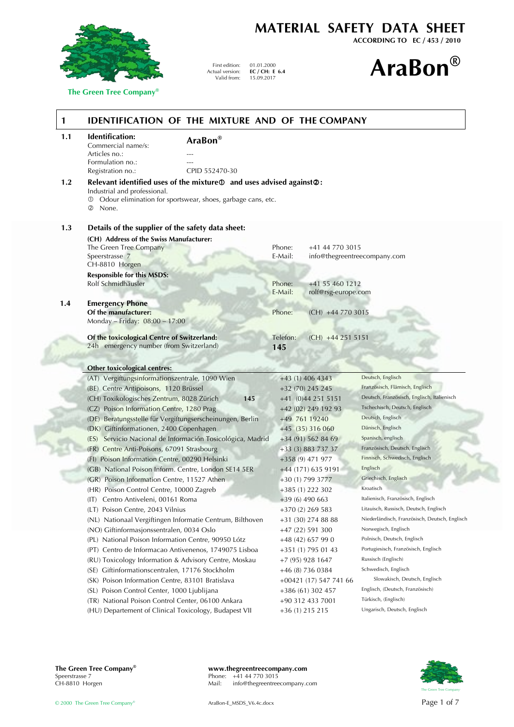

 **The Green Tree Company®**

**MATERIAL SAFETY DATA SHEET**

**ACCORDING TO EC / 453 / 2010**

# 15.09.2017 **AraBon®**

| 1   |                                                       | IDENTIFICATION OF THE MIXTURE AND OF THE COMPANY                                                                                                |          |                        |                                                                     |
|-----|-------------------------------------------------------|-------------------------------------------------------------------------------------------------------------------------------------------------|----------|------------------------|---------------------------------------------------------------------|
| 1.1 | Identification:<br>AraBon®<br>Commercial name/s:      |                                                                                                                                                 |          |                        |                                                                     |
|     | Articles no.:                                         |                                                                                                                                                 |          |                        |                                                                     |
|     | Formulation no.:                                      |                                                                                                                                                 |          |                        |                                                                     |
|     | Registration no.:                                     | CPID 552470-30                                                                                                                                  |          |                        |                                                                     |
| 1.2 | Industrial and professional.<br>②<br>None.            | Relevant identified uses of the mixture $\Phi$ and uses advised against $\Phi$ :<br>Odour elimination for sportswear, shoes, garbage cans, etc. |          |                        |                                                                     |
| 1.3 | Details of the supplier of the safety data sheet:     |                                                                                                                                                 |          |                        |                                                                     |
|     | (CH) Address of the Swiss Manufacturer:               |                                                                                                                                                 |          |                        |                                                                     |
|     | The Green Tree Company                                |                                                                                                                                                 | Phone:   | +41 44 770 3015        |                                                                     |
|     | Speerstrasse 7<br>CH-8810 Horgen                      |                                                                                                                                                 | E-Mail:  |                        | info@thegreentreecompany.com                                        |
|     | <b>Responsible for this MSDS:</b>                     |                                                                                                                                                 |          |                        |                                                                     |
|     | Rolf Schmidhäusler                                    |                                                                                                                                                 | Phone:   | +41 55 460 1212        |                                                                     |
|     |                                                       |                                                                                                                                                 | E-Mail:  | rolf@rsg-europe.com    |                                                                     |
| 1.4 | <b>Emergency Phone</b>                                |                                                                                                                                                 |          |                        |                                                                     |
|     | Of the manufacturer:                                  |                                                                                                                                                 | Phone:   | $(CH)$ +44 770 3015    |                                                                     |
|     | Monday - Friday: 08:00 - 17:00                        |                                                                                                                                                 |          |                        |                                                                     |
|     | Of the toxicological Centre of Switzerland:           |                                                                                                                                                 | Telefon: | $(CH)$ +44 251 5151    |                                                                     |
|     | 24h emergency number (from Switzerland)               |                                                                                                                                                 | 145      |                        |                                                                     |
|     |                                                       |                                                                                                                                                 |          |                        |                                                                     |
|     | <b>Other toxicological centres:</b>                   |                                                                                                                                                 |          |                        |                                                                     |
|     | (AT) Vergiftungsinformationszentrale, 1090 Wien       |                                                                                                                                                 |          | +43 (1) 406 4343       | Deutsch, Englisch                                                   |
|     | (BE) Centre Antipoisons, 1120 Brüssel                 |                                                                                                                                                 |          | $+32(70)$ 245 245      | Französisch, Flämisch, Englisch                                     |
|     | (CH) Toxikologisches Zentrum, 8028 Zürich             | 145                                                                                                                                             |          | +41 (0)44 251 5151     | Deutsch, Französisch, Englisch, Italienisch                         |
|     | (CZ) Poison Information Centre, 1280 Prag             |                                                                                                                                                 |          | +42 (02) 249 192 93    | Tschechisch, Deutsch, Englisch                                      |
|     |                                                       | (DE) Beratungsstelle für Vergiftungserscheinungen, Berlin                                                                                       |          | +49 761 19240          | Deutsch, Englisch                                                   |
|     | (DK) Giftinformationen, 2400 Copenhagen               |                                                                                                                                                 |          | +45 (35) 316 060       | Dänisch, Englisch                                                   |
|     |                                                       | (ES) Servicio Nacional de Información Tosicológica, Madrid                                                                                      |          | $+34(91)$ 562 84 69    | Spanisch, englisch                                                  |
|     | (FR) Centre Anti-Poisons, 67091 Strasbourg            |                                                                                                                                                 |          | +33 (3) 883 737 37     | Französisch, Deutsch, Englisch                                      |
|     | (FI) Poison Information Centre, 00290 Helsinki        |                                                                                                                                                 |          | +358 (9) 471 977       | Finnisch, Schwedisch, Englisch                                      |
|     | (GB) National Poison Inform. Centre, London SE14 5ER  |                                                                                                                                                 |          | +44 (171) 635 9191     | Englisch                                                            |
|     | (GR) Poison Information Centre, 11527 Athen           |                                                                                                                                                 |          | +30 (1) 799 3777       | Griechisch, Englisch                                                |
|     | (HR) Poison Control Centre, 10000 Zagreb              |                                                                                                                                                 |          | $+385(1)$ 222 302      | Kroatisch                                                           |
|     | (IT) Centro Antiveleni, 00161 Roma                    |                                                                                                                                                 |          | +39 (6) 490 663        | Italienisch, Französisch, Englisch                                  |
|     | (LT) Poison Centre, 2043 Vilnius                      |                                                                                                                                                 |          | $+370(2)$ 269 583      | Litauisch, Russisch, Deutsch, Englisch                              |
|     |                                                       | (NL) Nationaal Vergiftingen Informatie Centrum, Bilthoven                                                                                       |          | +31 (30) 274 88 88     | Niederländisch, Französisch, Deutsch, Englisch                      |
|     | (NO) Giftinformasjonssentralen, 0034 Oslo             |                                                                                                                                                 |          | +47 (22) 591 300       | Norwegisch, Englisch                                                |
|     | (PL) National Poison Information Centre, 90950 Lótz   |                                                                                                                                                 |          | +48 (42) 657 99 0      | Polnisch, Deutsch, Englisch<br>Portugiesisch, Französisch, Englisch |
|     |                                                       | (PT) Centro de Informacao Antivenenos, 1749075 Lisboa                                                                                           |          | +351 (1) 795 01 43     | Russisch (Englisch)                                                 |
|     |                                                       | (RU) Toxicology Information & Advisory Centre, Moskau                                                                                           |          | +7 (95) 928 1647       | Schwedisch, Englisch                                                |
|     | (SE) Giftinformationscentralen, 17176 Stockholm       |                                                                                                                                                 |          | +46 (8) 736 0384       | Slowakisch, Deutsch, Englisch                                       |
|     | (SK) Poison Information Centre, 83101 Bratislava      |                                                                                                                                                 |          | +00421 (17) 547 741 66 | Englisch, (Deutsch, Französisch)                                    |
|     | (SL) Poison Control Center, 1000 Ljublijana           |                                                                                                                                                 |          | +386 (61) 302 457      | Türkisch, (Englisch)                                                |
|     | (TR) National Poison Control Center, 06100 Ankara     |                                                                                                                                                 |          | +90 312 433 7001       | Ungarisch, Deutsch, Englisch                                        |
|     | (HU) Departement of Clinical Toxicology, Budapest VII |                                                                                                                                                 |          | +36 (1) 215 215        |                                                                     |

First edition: Actual version: Valid from:

01.01.2000 **EC / CH: E 6.4**<br>15.09.2017

**The Green Tree Company® www.thegreentreecompany.com**<br>Speerstrasse 7 Phone: +41 44 770 3015<br>CH-8810 Horgen Mail: info@thegreentreecompany.c Phone:  $+41$  44 770 3015<br>Mail: info@thegreentree info@thegreentreecompany.com

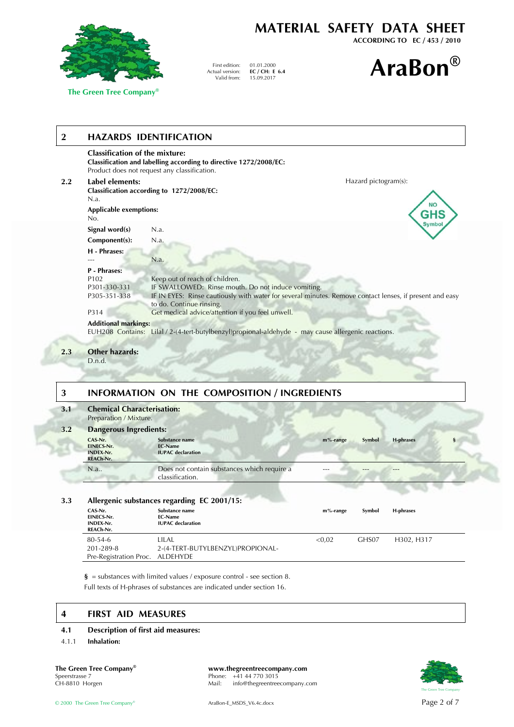

 **The Green Tree Company®**

# **MATERIAL SAFETY DATA SHEET**

**ACCORDING TO EC / 453 / 2010**



## **2 HAZARDS IDENTIFICATION**

|         | <b>Classification of the mixture:</b>            | Classification and labelling according to directive 1272/2008/EC:<br>Product does not request any classification.                                                                                                           |
|---------|--------------------------------------------------|-----------------------------------------------------------------------------------------------------------------------------------------------------------------------------------------------------------------------------|
| $2.2\,$ | Label elements:                                  | Hazard pictogram(s):                                                                                                                                                                                                        |
|         | N.a.                                             | Classification according to 1272/2008/EC:                                                                                                                                                                                   |
|         | <b>Applicable exemptions:</b><br>No.             | <b>NO</b><br><b>GHS</b>                                                                                                                                                                                                     |
|         | Signal word(s)                                   | Symbol<br>N.a.                                                                                                                                                                                                              |
|         | Component(s):                                    | N.a.                                                                                                                                                                                                                        |
|         | H - Phrases:                                     | N.a.                                                                                                                                                                                                                        |
|         | <b>P</b> - Phrases:                              |                                                                                                                                                                                                                             |
|         | P <sub>102</sub><br>P301-330-331<br>P305-351-338 | Keep out of reach of children.<br>IF SWALLOWED: Rinse mouth. Do not induce vomiting.<br>IF IN EYES: Rinse cautiously with water for several minutes. Remove contact lenses, if present and easy<br>to do. Continue rinsing. |
|         | P314                                             | Get medical advice/attention if you feel unwell.                                                                                                                                                                            |
|         | <b>Additional markings:</b>                      |                                                                                                                                                                                                                             |
|         |                                                  | EUH208 Contains: Lilal / 2-(4-tert-butylbenzyl)propional-aldehyde - may cause allergenic reactions.                                                                                                                         |
| 2.3     | <b>Other hazards:</b><br>D.n.d.                  |                                                                                                                                                                                                                             |

First edition: Actual version: Valid from:

01.01.2000 **EC / CH: E 6.4**

## **3 INFORMATION ON THE COMPOSITION / INGREDIENTS**

#### **3.1 Chemical Characterisation:** Preparation / Mixture. **3.2 Dangerous Ingredients: CAS-Nr. EINECS-Nr. INDEX-Nr. REACh-Nr. Substance name EC-Name IUPAC declaration m%-range Symbol H-phrases §** N.a.. Does not contain substances which require a classification. --- --- --- **3.3 Allergenic substances regarding EC 2001/15:**

#### **CAS-Nr. EINECS-Nr. INDEX-Nr. REACh-Nr. Substance name EC-Name IUPAC declaration m%-range Symbol H-phrases**  80-54-6 201-289-8 Pre-Registration Proc. LILAL 2-(4-TERT-BUTYLBENZYL)PROPIONAL-ALDEHYDE <0,02 GHS07 H302, H317

 **§** = substances with limited values / exposure control - see section 8. Full texts of H-phrases of substances are indicated under section 16.

## **4 FIRST AID MEASURES**

#### **4.1 Description of first aid measures:**

4.1.1 **Inhalation:**

**The Green Tree Company® www.thegreentreecompany.com**<br>Speerstrasse 7 **Phone:**  $+41\,44\,770\,3015$ Speerstrasse 7 Phone: +41 44 770 3015<br>CH-8810 Horgen Mail: info@thegreentree info@thegreentreecompany.com

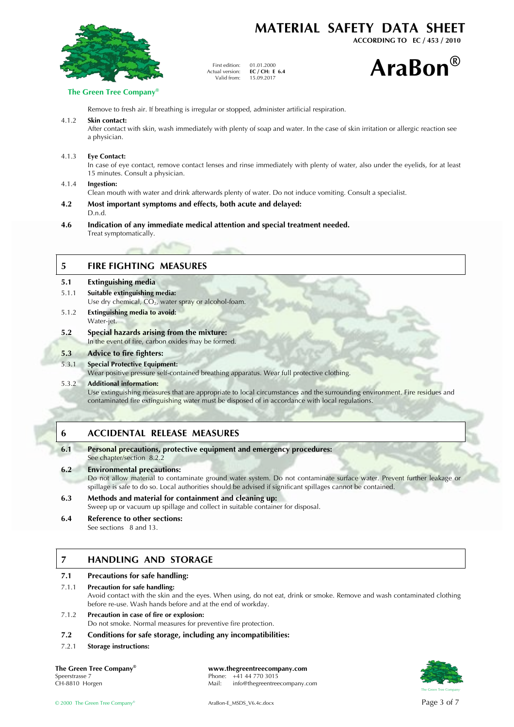

## **MATERIAL SAFETY DATA SHEET**

**ACCORDING TO EC / 453 / 2010**



#### **The Green Tree Company®**

Remove to fresh air. If breathing is irregular or stopped, administer artificial respiration.

First edition: Actual version: Valid from:

#### 4.1.2 **Skin contact:**

After contact with skin, wash immediately with plenty of soap and water. In the case of skin irritation or allergic reaction see a physician.

01.01.2000 **EC / CH: E 6.4**<br>15.09.2017

#### 4.1.3 **Eye Contact:**

In case of eye contact, remove contact lenses and rinse immediately with plenty of water, also under the eyelids, for at least 15 minutes. Consult a physician.

#### 4.1.4 **Ingestion:**

Clean mouth with water and drink afterwards plenty of water. Do not induce vomiting. Consult a specialist.

- **4.2 Most important symptoms and effects, both acute and delayed:** D.n.d.
- **4.6 Indication of any immediate medical attention and special treatment needed.** Treat symptomatically.

#### **5 FIRE FIGHTING MEASURES**

| 5.1   | <b>Extinguishing media</b>                                                                      |
|-------|-------------------------------------------------------------------------------------------------|
| 5.1.1 | Suitable extinguishing media:<br>Use dry chemical, $CO2$ , water spray or alcohol-foam.         |
| 5.1.2 | <b>Extinguishing media to avoid:</b><br>Water-jet.                                              |
| 5.2   | Special hazards arising from the mixture:<br>In the event of fire, carbon oxides may be formed. |
|       |                                                                                                 |

#### **5.3 Advice to fire fighters:**

#### 5.3.1 **Special Protective Equipment:**

Wear positive pressure self-contained breathing apparatus. Wear full protective clothing.

#### 5.3.2 **Additional information:**

Use extinguishing measures that are appropriate to local circumstances and the surrounding environment. Fire residues and contaminated fire extinguishing water must be disposed of in accordance with local regulations.

#### **6 ACCIDENTAL RELEASE MEASURES**

#### **6.1 Personal precautions, protective equipment and emergency procedures:** See chapter/section 8.2.2

#### **6.2 Environmental precautions:**

Do not allow material to contaminate ground water system. Do not contaminate surface water. Prevent further leakage or spillage is safe to do so. Local authorities should be advised if significant spillages cannot be contained.

#### **6.3 Methods and material for containment and cleaning up:** Sweep up or vacuum up spillage and collect in suitable container for disposal.

**6.4 Reference to other sections:**

See sections 8 and 13.

## **7 HANDLING AND STORAGE**

#### **7.1 Precautions for safe handling:**

#### 7.1.1 **Precaution for safe handling:** Avoid contact with the skin and the eyes. When using, do not eat, drink or smoke. Remove and wash contaminated clothing before re-use. Wash hands before and at the end of workday.

#### 7.1.2 **Precaution in case of fire or explosion:**

Do not smoke. Normal measures for preventive fire protection.

#### **7.2 Conditions for safe storage, including any incompatibilities:**

7.2.1 **Storage instructions:**

**The Green Tree Company® www.thegreentreecompany.com**<br>Speerstrasse 7 **Phone:** +41 44 770 3015 Speerstrasse 7 Phone: +41 44 770 3015<br>CH-8810 Horgen Phone: +41 44 770 3015 info@thegreentreecompany.com

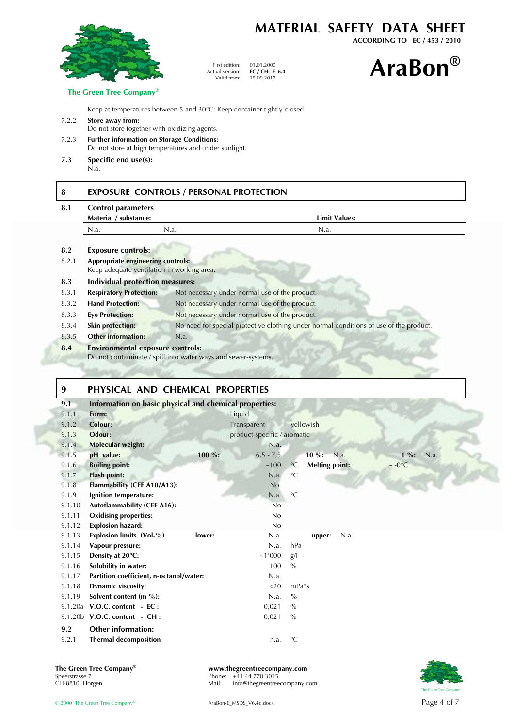|                |                                                                                                            |                                                  |                                                | MATERIAL SAFETY DATA SHEET<br>ACCORDING TO EC / 453 / 2010                             |
|----------------|------------------------------------------------------------------------------------------------------------|--------------------------------------------------|------------------------------------------------|----------------------------------------------------------------------------------------|
|                |                                                                                                            | First edition:<br>Actual version:<br>Valid from: | 01.01.2000<br>EC / CH: E $6.4$<br>15.09.2017   | <b>AraBon®</b>                                                                         |
|                | The Green Tree Company®                                                                                    |                                                  |                                                |                                                                                        |
|                | Keep at temperatures between 5 and 30°C: Keep container tightly closed.                                    |                                                  |                                                |                                                                                        |
| 7.2.2          | Store away from:<br>Do not store together with oxidizing agents.                                           |                                                  |                                                |                                                                                        |
| 7.2.3          | <b>Further information on Storage Conditions:</b><br>Do not store at high temperatures and under sunlight. |                                                  |                                                |                                                                                        |
| 7.3            | Specific end use(s):<br>N.a.                                                                               |                                                  |                                                |                                                                                        |
| 8.1            | <b>Control parameters</b><br>Material / substance:                                                         |                                                  |                                                | <b>Limit Values:</b>                                                                   |
|                | N.a.                                                                                                       | N.a.                                             |                                                | N.a.                                                                                   |
| 8.2            | <b>Exposure controls:</b>                                                                                  |                                                  |                                                |                                                                                        |
| 8.2.1          | <b>Appropriate engineering controls:</b><br>Keep adequate ventilation in working area.                     |                                                  |                                                |                                                                                        |
| 8.3            | <b>Individual protection measures:</b>                                                                     |                                                  |                                                |                                                                                        |
| 8.3.1          | <b>Respiratory Protection:</b>                                                                             |                                                  | Not necessary under normal use of the product. |                                                                                        |
| 8.3.2          | <b>Hand Protection:</b>                                                                                    |                                                  | Not necessary under normal use of the product. |                                                                                        |
| 8.3.3          |                                                                                                            |                                                  | Not necessary under normal use of the product. |                                                                                        |
|                | <b>Eye Protection:</b>                                                                                     |                                                  |                                                |                                                                                        |
|                | <b>Skin protection:</b>                                                                                    |                                                  |                                                | No need for special protective clothing under normal conditions of use of the product. |
| 8.3.4<br>8.3.5 | <b>Other information:</b>                                                                                  | N.a.                                             |                                                |                                                                                        |

## **9 PHYSICAL AND CHEMICAL PROPERTIES**

| 9.1    | Information on basic physical and chemical properties: |                             |                                          |                        |
|--------|--------------------------------------------------------|-----------------------------|------------------------------------------|------------------------|
| 9.1.1  | Form:                                                  | Liquid                      |                                          |                        |
| 9.1.2  | <b>Colour:</b>                                         | Transparent                 | yellowish                                |                        |
| 9.1.3  | Odour:                                                 | product-specific / aromatic |                                          |                        |
| 9.1.4  | <b>Molecular weight:</b>                               | N.a.                        |                                          |                        |
| 9.1.5  | pH value:<br>100 %:                                    | $6, 5 - 7, 5$               | 10 %: N.a.                               | $1\%$ :<br>N.a.        |
| 9.1.6  | <b>Boiling point:</b>                                  | ~100                        | <b>Melting point:</b><br>$\rm ^{\circ}C$ | $\sim$ -0 $^{\circ}$ C |
| 9.1.7  | <b>Flash point:</b>                                    | N.a.                        | $\rm ^{\circ}C$                          |                        |
| 9.1.8  | Flammability (CEE A10/A13):                            | No.                         |                                          |                        |
| 9.1.9  | Ignition temperature:                                  | N.a.                        | $\rm ^{\circ}C$                          |                        |
| 9.1.10 | <b>Autoflammability (CEE A16):</b>                     | No                          |                                          |                        |
| 9.1.11 | <b>Oxidising properties:</b>                           | No                          |                                          |                        |
| 9.1.12 | <b>Explosion hazard:</b>                               | No                          |                                          |                        |
| 9.1.13 | Explosion limits (Vol-%)<br>lower:                     | N.a.                        | upper:                                   | N.a.                   |
| 9.1.14 | Vapour pressure:                                       | N.a.                        | hPa                                      |                        |
| 9.1.15 | Density at 20°C:                                       | ~1'000                      | g/                                       |                        |
| 9.1.16 | Solubility in water:                                   | 100                         | $\frac{0}{0}$                            |                        |
| 9.1.17 | Partition coefficient, n-octanol/water:                | N.a.                        |                                          |                        |
| 9.1.18 | Dynamic viscosity:                                     | $<$ 20                      | $mPa*S$                                  |                        |
| 9.1.19 | Solvent content (m %):                                 | N.a.                        | $\frac{0}{0}$                            |                        |
|        | 9.1.20a V.O.C. content - EC :                          | 0,021                       | $\frac{0}{0}$                            |                        |
|        | 9.1.20b V.O.C. content - CH:                           | 0,021                       | $\frac{0}{0}$                            |                        |
| 9.2    | <b>Other information:</b>                              |                             |                                          |                        |
| 9.2.1  | <b>Thermal decomposition</b>                           | n.a.                        | $\rm ^{\circ}C$                          |                        |

# The Green Tree Company®<br>Speerstrasse 7<br>CH-8810 Horgen

**The Green Tree Company® www.thegreentreecompany.com**

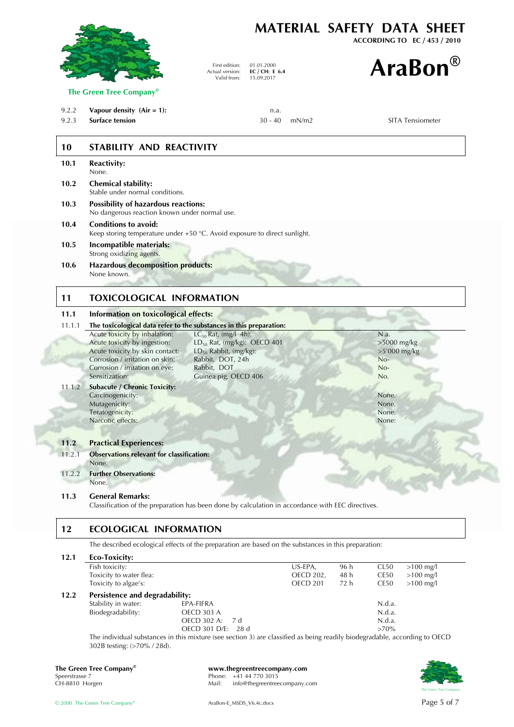

| The Green Tree Company <sup>®</sup> | www.thegreentreecompany.com           |                        |
|-------------------------------------|---------------------------------------|------------------------|
| Speerstrasse 7                      | Phone: $+41$ 44 770 3015              | 美国                     |
| CH-8810 Horgen                      | info@thegreentreecompany.com<br>Mail: |                        |
|                                     |                                       | The Green Tree Company |

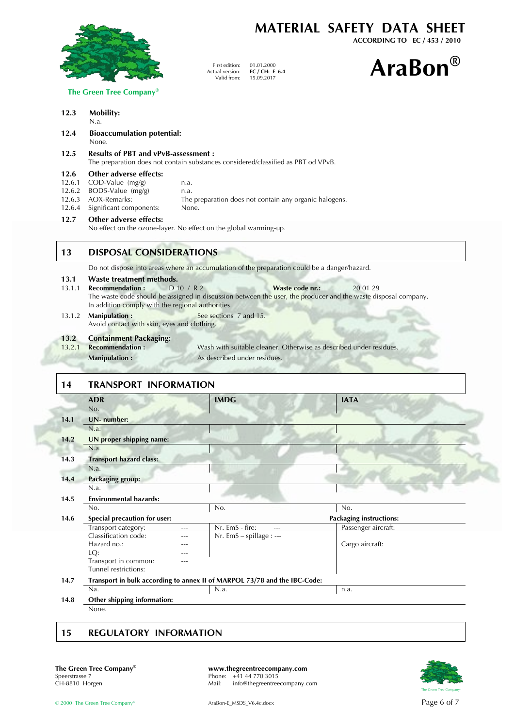

**MATERIAL SAFETY DATA SHEET**

**ACCORDING TO EC / 453 / 2010**

15.09.2017 **AraBon®**

| The Green Tree Company® |  |  |
|-------------------------|--|--|
|                         |  |  |

#### **12.3 Mobility:**

N.a.

**12.4 Bioaccumulation potential:** None.

#### **12.5 Results of PBT and vPvB-assessment :**

The preparation does not contain substances considered/classified as PBT od VPvB.

First edition: Actual version: Valid from:

01.01.2000 **EC / CH: E 6.4**

#### **12.6 Other adverse effects:**

- 12.6.1 COD-Value  $(mg/g)$  n.a.
- 
- 12.6.2 BOD5-Value (mg/g) n.a.<br>12.6.3 AOX-Remarks: The 12.6.3 AOX-Remarks: The preparation does not contain any organic halogens.
- 12.6.4 Significant components: None.

#### **12.7 Other adverse effects:**

No effect on the ozone-layer. No effect on the global warming-up.

#### **13 DISPOSAL CONSIDERATIONS**

Do not dispose into areas where an accumulation of the preparation could be a danger/hazard.

- **13.1 Waste treatment methods.**<br>**13.1.1 Recommendation :** D 10 / R 2 **Recommendation :** D 10 / R 2 **Waste code nr.:** 20 01 29
- The waste code should be assigned in discussion between the user, the producer and the waste disposal company. In addition comply with the regional authorities.
- 13.1.2 **Manipulation :** See sections 7 and 15. Avoid contact with skin, eyes and clothing.

# **13.2 Containment Packaging:**

Wash with suitable cleaner. Otherwise as described under residues. **Manipulation :** As described under residues.

## **14 TRANSPORT INFORMATION**

|      | <b>ADR</b>                          |     | <b>IMDG</b>                                                               | <b>IATA</b>                    |
|------|-------------------------------------|-----|---------------------------------------------------------------------------|--------------------------------|
|      | No.                                 |     |                                                                           |                                |
| 14.1 | UN- number:                         |     |                                                                           |                                |
|      | N.a.                                |     |                                                                           |                                |
| 14.2 | UN proper shipping name:            |     |                                                                           |                                |
|      | N.a.                                |     |                                                                           |                                |
| 14.3 | <b>Transport hazard class:</b>      |     |                                                                           |                                |
|      | N.a.                                |     |                                                                           |                                |
| 14.4 | <b>Packaging group:</b>             |     |                                                                           |                                |
|      | N.a.                                |     |                                                                           |                                |
| 14.5 | <b>Environmental hazards:</b>       |     |                                                                           |                                |
|      | No.                                 |     | No.                                                                       | No.                            |
| 14.6 | <b>Special precaution for user:</b> |     |                                                                           | <b>Packaging instructions:</b> |
|      | Transport category:                 | --- | Nr. EmS - fire:                                                           | Passenger aircraft:            |
|      | Classification code:                |     | Nr. EmS - spillage : ---                                                  |                                |
|      | Hazard no.:                         |     |                                                                           | Cargo aircraft:                |
|      | LQ:                                 |     |                                                                           |                                |
|      | Transport in common:                | --- |                                                                           |                                |
|      | Tunnel restrictions:                |     |                                                                           |                                |
| 14.7 |                                     |     | Transport in bulk according to annex II of MARPOL 73/78 and the IBC-Code: |                                |
|      | Na.                                 |     | N.a.                                                                      | n.a.                           |
| 14.8 | Other shipping information:         |     |                                                                           |                                |
|      | None.                               |     |                                                                           |                                |

## **15 REGULATORY INFORMATION**

**The Green Tree Company<sup>®</sup> <b>www.thegreentreecompany.com**<br>Speerstrasse 7 **Phone:** +41 44 770 3015 Speerstrasse 7 Phone: +41 44 770 3015<br>CH-8810 Horgen Phone: +41 44 770 3015 info@thegreentreecompany.com